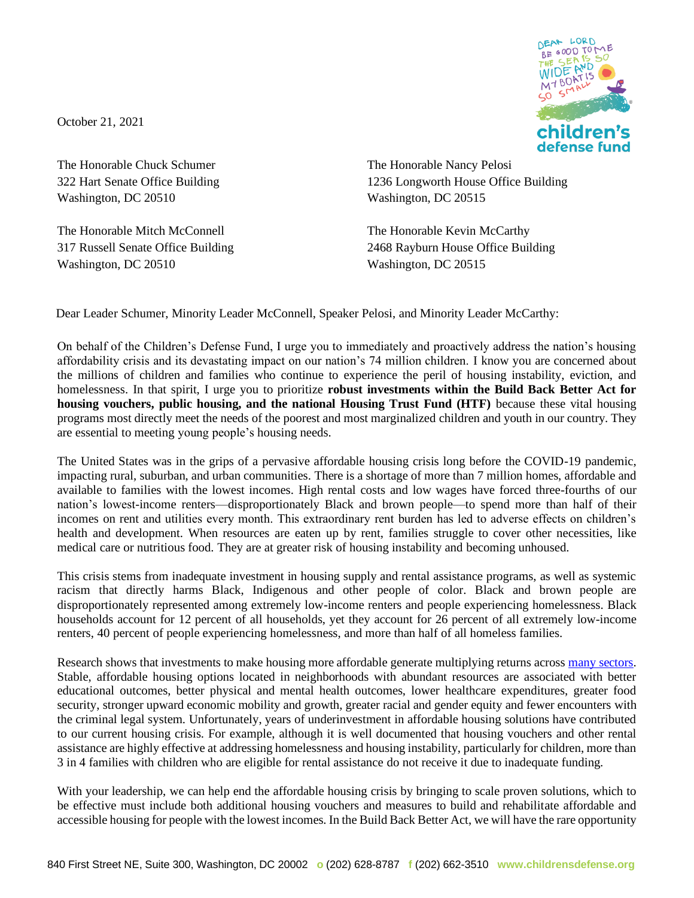October 21, 2021

The Honorable Chuck Schumer 322 Hart Senate Office Building Washington, DC 20510

The Honorable Mitch McConnell 317 Russell Senate Office Building Washington, DC 20510



The Honorable Nancy Pelosi 1236 Longworth House Office Building Washington, DC 20515

The Honorable Kevin McCarthy 2468 Rayburn House Office Building Washington, DC 20515

Dear Leader Schumer, Minority Leader McConnell, Speaker Pelosi, and Minority Leader McCarthy:

On behalf of the Children's Defense Fund, I urge you to immediately and proactively address the nation's housing affordability crisis and its devastating impact on our nation's 74 million children. I know you are concerned about the millions of children and families who continue to experience the peril of housing instability, eviction, and homelessness. In that spirit, I urge you to prioritize **robust investments within the Build Back Better Act for housing vouchers, public housing, and the national Housing Trust Fund (HTF)** because these vital housing programs most directly meet the needs of the poorest and most marginalized children and youth in our country. They are essential to meeting young people's housing needs.

The United States was in the grips of a pervasive affordable housing crisis long before the COVID-19 pandemic, impacting rural, suburban, and urban communities. There is a shortage of more than 7 million homes, affordable and available to families with the lowest incomes. High rental costs and low wages have forced three-fourths of our nation's lowest-income renters—disproportionately Black and brown people—to spend more than half of their incomes on rent and utilities every month. This extraordinary rent burden has led to adverse effects on children's health and development. When resources are eaten up by rent, families struggle to cover other necessities, like medical care or nutritious food. They are at greater risk of housing instability and becoming unhoused.

This crisis stems from inadequate investment in housing supply and rental assistance programs, as well as systemic racism that directly harms Black, Indigenous and other people of color. Black and brown people are disproportionately represented among extremely low-income renters and people experiencing homelessness. Black households account for 12 percent of all households, yet they account for 26 percent of all extremely low-income renters, 40 percent of people experiencing homelessness, and more than half of all homeless families.

Research shows that investments to make housing more affordable generate multiplying returns across [many sectors.](https://www.opportunityhome.org/related-sectors/) Stable, affordable housing options located in neighborhoods with abundant resources are associated with better educational outcomes, better physical and mental health outcomes, lower healthcare expenditures, greater food security, stronger upward economic mobility and growth, greater racial and gender equity and fewer encounters with the criminal legal system. Unfortunately, years of underinvestment in affordable housing solutions have contributed to our current housing crisis. For example, although it is well documented that housing vouchers and other rental assistance are highly effective at addressing homelessness and housing instability, particularly for children, more than 3 in 4 families with children who are eligible for rental assistance do not receive it due to inadequate funding.

With your leadership, we can help end the affordable housing crisis by bringing to scale proven solutions, which to be effective must include both additional housing vouchers and measures to build and rehabilitate affordable and accessible housing for people with the lowest incomes. In the Build Back Better Act, we will have the rare opportunity